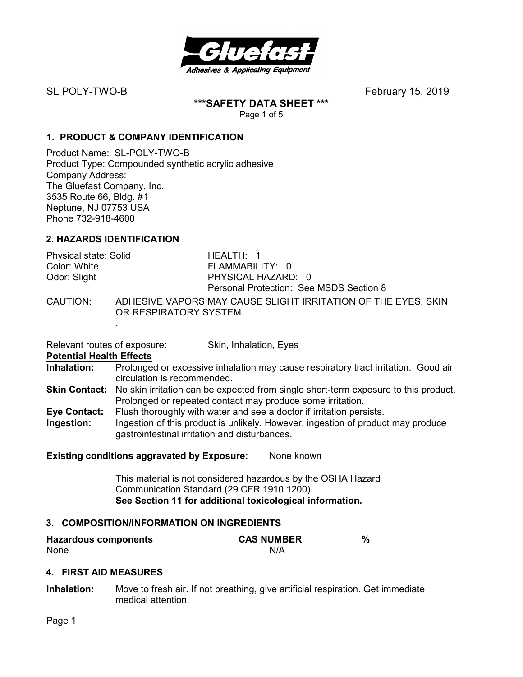

**\*\*\*SAFETY DATA SHEET \*\*\*** 

Page 1 of 5

# **1. PRODUCT & COMPANY IDENTIFICATION**

Product Name: SL-POLY-TWO-B Product Type: Compounded synthetic acrylic adhesive Company Address: The Gluefast Company, Inc. 3535 Route 66, Bldg. #1 Neptune, NJ 07753 USA Phone 732-918-4600

# **2. HAZARDS IDENTIFICATION**

| Physical state: Solid | HEALTH $\cdot$ 1                                        |
|-----------------------|---------------------------------------------------------|
| Color: White          | FLAMMABILITY: 0                                         |
| Odor: Slight          | PHYSICAL HAZARD: 0                                      |
|                       | Personal Protection: See MSDS Section 8                 |
| CAUTION:              | ADHESIVE VAPORS MAY CAUSE SLIGHT IRRITATION OF THE EYES |

CAUTION: ADHESIVE VAPORS MAY CAUSE SLIGHT IRRITATION OF THE EYES, SKIN OR RESPIRATORY SYSTEM. .

Relevant routes of exposure: Skin, Inhalation, Eyes

**Potential Health Effects**<br> **Inhalation:** Prolonged

- **Inhalation:** Prolonged or excessive inhalation may cause respiratory tract irritation. Good air circulation is recommended.
- **Skin Contact:** No skin irritation can be expected from single short-term exposure to this product. Prolonged or repeated contact may produce some irritation.
- **Eye Contact:** Flush thoroughly with water and see a doctor if irritation persists.
- **Ingestion:** Ingestion of this product is unlikely. However, ingestion of product may produce gastrointestinal irritation and disturbances.

# **Existing conditions aggravated by Exposure:** None known

This material is not considered hazardous by the OSHA Hazard Communication Standard (29 CFR 1910.1200). **See Section 11 for additional toxicological information.** 

# **3. COMPOSITION/INFORMATION ON INGREDIENTS**

| <b>Hazardous components</b> | <b>CAS NUMBER</b> |  |
|-----------------------------|-------------------|--|
| None                        | N/A               |  |

# **4. FIRST AID MEASURES**

**Inhalation:** Move to fresh air. If not breathing, give artificial respiration. Get immediate medical attention.

Page 1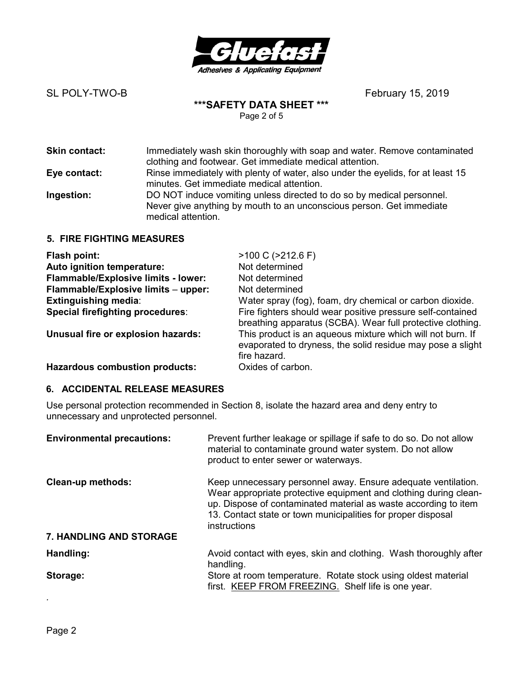

### **\*\*\*SAFETY DATA SHEET \*\*\***  Page 2 of 5

| <b>Skin contact:</b> | Immediately wash skin thoroughly with soap and water. Remove contaminated<br>clothing and footwear. Get immediate medical attention.                                |
|----------------------|---------------------------------------------------------------------------------------------------------------------------------------------------------------------|
| Eye contact:         | Rinse immediately with plenty of water, also under the eyelids, for at least 15<br>minutes. Get immediate medical attention.                                        |
| Ingestion:           | DO NOT induce vomiting unless directed to do so by medical personnel.<br>Never give anything by mouth to an unconscious person. Get immediate<br>medical attention. |

## **5. FIRE FIGHTING MEASURES**

| Flash point:                            | $>100$ C ( $>212.6$ F)                                                                                                                   |
|-----------------------------------------|------------------------------------------------------------------------------------------------------------------------------------------|
| Auto ignition temperature:              | Not determined                                                                                                                           |
| Flammable/Explosive limits - lower:     | Not determined                                                                                                                           |
| Flammable/Explosive limits - upper:     | Not determined                                                                                                                           |
| <b>Extinguishing media:</b>             | Water spray (fog), foam, dry chemical or carbon dioxide.                                                                                 |
| <b>Special firefighting procedures:</b> | Fire fighters should wear positive pressure self-contained<br>breathing apparatus (SCBA). Wear full protective clothing.                 |
| Unusual fire or explosion hazards:      | This product is an aqueous mixture which will not burn. If<br>evaporated to dryness, the solid residue may pose a slight<br>fire hazard. |
| Hazardous combustion products:          | Oxides of carbon                                                                                                                         |

# **Hazardous combustion products:** UXIDES OF CARDON.

## **6. ACCIDENTAL RELEASE MEASURES**

Use personal protection recommended in Section 8, isolate the hazard area and deny entry to unnecessary and unprotected personnel.

| <b>Environmental precautions:</b> | Prevent further leakage or spillage if safe to do so. Do not allow<br>material to contaminate ground water system. Do not allow<br>product to enter sewer or waterways.                                                                                                              |
|-----------------------------------|--------------------------------------------------------------------------------------------------------------------------------------------------------------------------------------------------------------------------------------------------------------------------------------|
| <b>Clean-up methods:</b>          | Keep unnecessary personnel away. Ensure adequate ventilation.<br>Wear appropriate protective equipment and clothing during clean-<br>up. Dispose of contaminated material as waste according to item<br>13. Contact state or town municipalities for proper disposal<br>instructions |
| <b>7. HANDLING AND STORAGE</b>    |                                                                                                                                                                                                                                                                                      |
| Handling:                         | Avoid contact with eyes, skin and clothing. Wash thoroughly after<br>handling.                                                                                                                                                                                                       |
| Storage:                          | Store at room temperature. Rotate stock using oldest material<br>first. KEEP FROM FREEZING. Shelf life is one year.                                                                                                                                                                  |
|                                   |                                                                                                                                                                                                                                                                                      |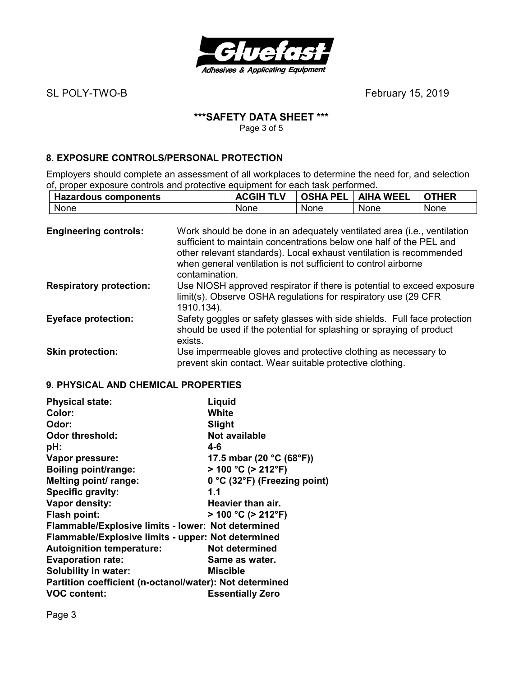

# **\*\*\*SAFETY DATA SHEET \*\*\***

Page 3 of 5

# **8. EXPOSURE CONTROLS/PERSONAL PROTECTION**

Employers should complete an assessment of all workplaces to determine the need for, and selection of, proper exposure controls and protective equipment for each task performed.

| <b>Hazardous components</b> | <b>TLV</b><br><b>ACGIH</b> | <b>OSHA PEL</b> | <b>WEEL</b><br><b>AIHA</b> | <b>OTHER</b> |
|-----------------------------|----------------------------|-----------------|----------------------------|--------------|
| None                        | None                       | None            | None                       | None         |

| <b>Engineering controls:</b>   | Work should be done in an adequately ventilated area (i.e., ventilation<br>sufficient to maintain concentrations below one half of the PEL and<br>other relevant standards). Local exhaust ventilation is recommended<br>when general ventilation is not sufficient to control airborne<br>contamination. |
|--------------------------------|-----------------------------------------------------------------------------------------------------------------------------------------------------------------------------------------------------------------------------------------------------------------------------------------------------------|
| <b>Respiratory protection:</b> | Use NIOSH approved respirator if there is potential to exceed exposure<br>limit(s). Observe OSHA regulations for respiratory use (29 CFR<br>1910.134).                                                                                                                                                    |
| <b>Eyeface protection:</b>     | Safety goggles or safety glasses with side shields. Full face protection<br>should be used if the potential for splashing or spraying of product<br>exists.                                                                                                                                               |
| <b>Skin protection:</b>        | Use impermeable gloves and protective clothing as necessary to<br>prevent skin contact. Wear suitable protective clothing.                                                                                                                                                                                |

## **9. PHYSICAL AND CHEMICAL PROPERTIES**

| <b>Physical state:</b>                                  | Liquid                                        |  |
|---------------------------------------------------------|-----------------------------------------------|--|
| Color:                                                  | White                                         |  |
| Odor:                                                   | Slight                                        |  |
| <b>Odor threshold:</b>                                  | Not available                                 |  |
| pH:                                                     | 4-6                                           |  |
| Vapor pressure:                                         | 17.5 mbar (20 $^{\circ}$ C (68 $^{\circ}$ F)) |  |
| <b>Boiling point/range:</b>                             | $>$ 100 °C ( $>$ 212°F)                       |  |
| Melting point/ range:                                   | 0 °C (32°F) (Freezing point)                  |  |
| Specific gravity:                                       | 1.1                                           |  |
| Vapor density:                                          | Heavier than air.                             |  |
| <b>Flash point:</b>                                     | $> 100 °C$ ( $> 212 °F$ )                     |  |
| Flammable/Explosive limits - lower: Not determined      |                                               |  |
| Flammable/Explosive limits - upper: Not determined      |                                               |  |
| <b>Autoignition temperature:</b>                        | Not determined                                |  |
| <b>Evaporation rate:</b>                                | Same as water.                                |  |
| <b>Solubility in water:</b>                             | Miscible                                      |  |
| Partition coefficient (n-octanol/water): Not determined |                                               |  |
| <b>VOC content:</b>                                     | <b>Essentially Zero</b>                       |  |

Page 3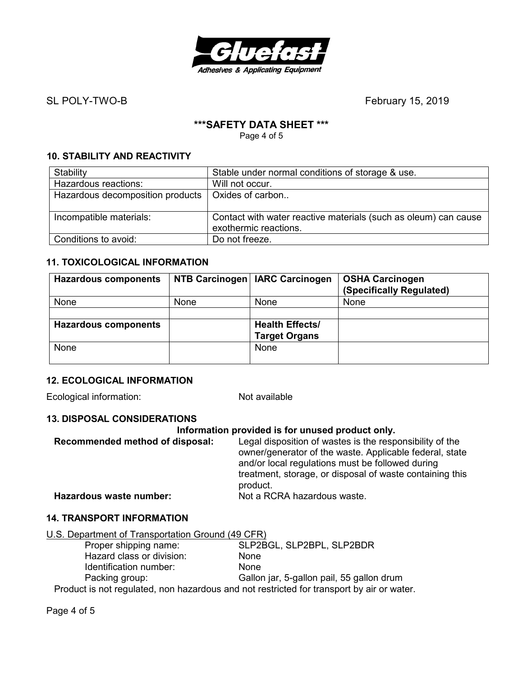

# **\*\*\*SAFETY DATA SHEET \*\*\***

Page 4 of 5

# **10. STABILITY AND REACTIVITY**

| Stability                        | Stable under normal conditions of storage & use.                                         |
|----------------------------------|------------------------------------------------------------------------------------------|
| Hazardous reactions:             | Will not occur.                                                                          |
| Hazardous decomposition products | Oxides of carbon                                                                         |
| Incompatible materials:          | Contact with water reactive materials (such as oleum) can cause<br>exothermic reactions. |
| Conditions to avoid:             | Do not freeze.                                                                           |

## **11. TOXICOLOGICAL INFORMATION**

| <b>Hazardous components</b> |      | NTB Carcinogen   IARC Carcinogen | <b>OSHA Carcinogen</b><br>(Specifically Regulated) |
|-----------------------------|------|----------------------------------|----------------------------------------------------|
| None                        | None | None                             | None                                               |
|                             |      |                                  |                                                    |
| <b>Hazardous components</b> |      | <b>Health Effects/</b>           |                                                    |
|                             |      | <b>Target Organs</b>             |                                                    |
| None                        |      | None                             |                                                    |
|                             |      |                                  |                                                    |

# **12. ECOLOGICAL INFORMATION**

Ecological information: Not available

## **13. DISPOSAL CONSIDERATIONS**

| Legal disposition of wastes is the responsibility of the                                                                                                                |
|-------------------------------------------------------------------------------------------------------------------------------------------------------------------------|
| owner/generator of the waste. Applicable federal, state<br>and/or local regulations must be followed during<br>treatment, storage, or disposal of waste containing this |
| product.<br>Not a RCRA hazardous waste.                                                                                                                                 |
|                                                                                                                                                                         |

# **14. TRANSPORT INFORMATION**

| U.S. Department of Transportation Ground (49 CFR)                                         |                                           |  |  |
|-------------------------------------------------------------------------------------------|-------------------------------------------|--|--|
| Proper shipping name:                                                                     | SLP2BGL, SLP2BPL, SLP2BDR                 |  |  |
| Hazard class or division:                                                                 | <b>None</b>                               |  |  |
| Identification number:                                                                    | <b>None</b>                               |  |  |
| Packing group:                                                                            | Gallon jar, 5-gallon pail, 55 gallon drum |  |  |
| Product is not regulated, non hazardous and not restricted for transport by air or water. |                                           |  |  |

Page 4 of 5